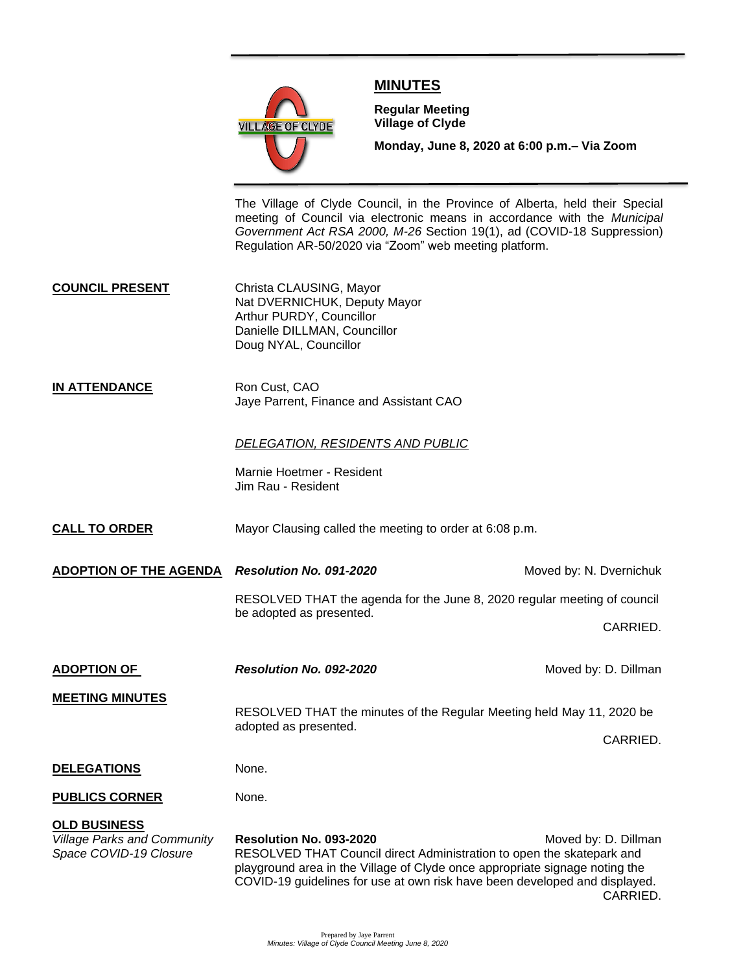

# **MINUTES**

**Meeting**

**Regular Meeting Village of Clyde**

**Monday, June 8, 2020 at 6:00 p.m.– Via Zoom** 

The Village of Clyde Council, in the Province of Alberta, held their Special meeting of Council via electronic means in accordance with the *Municipal Government Act RSA 2000, M-26* Section 19(1), ad (COVID-18 Suppression) Regulation AR-50/2020 via "Zoom" web meeting platform.

**COUNCIL PRESENT** Christa CLAUSING, Mayor Nat DVERNICHUK, Deputy Mayor Arthur PURDY, Councillor Danielle DILLMAN, Councillor Doug NYAL, Councillor

**IN ATTENDANCE** Ron Cust, CAO Jaye Parrent, Finance and Assistant CAO

## *DELEGATION, RESIDENTS AND PUBLIC*

Marnie Hoetmer - Resident Jim Rau - Resident

**CALL TO ORDER** Mayor Clausing called the meeting to order at 6:08 p.m.

**ADOPTION OF THE AGENDA** *Resolution No. 091-2020* **Moved by: N. Dvernichuk** 

RESOLVED THAT the agenda for the June 8, 2020 regular meeting of council be adopted as presented.

CARRIED.

**ADOPTION OF** *Resolution No. 092-2020* Moved by: D. Dillman

**MEETING MINUTES**

RESOLVED THAT the minutes of the Regular Meeting held May 11, 2020 be adopted as presented.

CARRIED.

**DELEGATIONS** None.

**PUBLICS CORNER** None.

### **OLD BUSINESS**

*Village Parks and Community* **Resolution No. 093-2020** Moved by: D. Dillman *Space COVID-19 Closure* RESOLVED THAT Council direct Administration to open the skatepark and playground area in the Village of Clyde once appropriate signage noting the COVID-19 guidelines for use at own risk have been developed and displayed. CARRIED.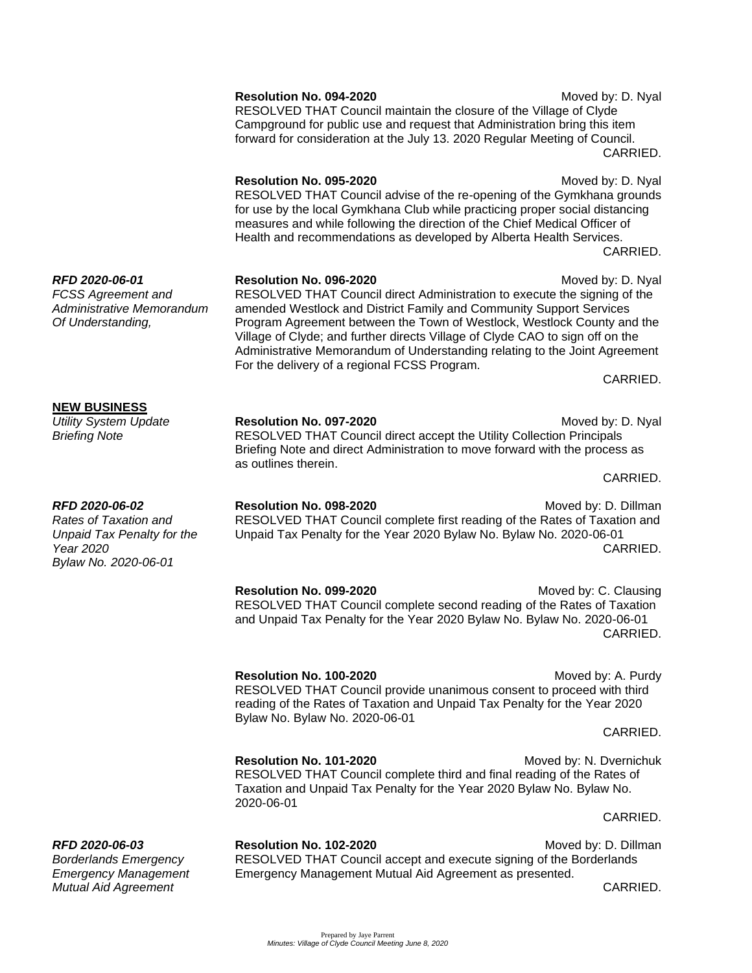|                                                                                                            | forward for consideration at the July 13. 2020 Regular Meeting of Council.<br>CARRIED.                                                                                                                                                                                                                                                                                                                                                                                                                 |  |
|------------------------------------------------------------------------------------------------------------|--------------------------------------------------------------------------------------------------------------------------------------------------------------------------------------------------------------------------------------------------------------------------------------------------------------------------------------------------------------------------------------------------------------------------------------------------------------------------------------------------------|--|
|                                                                                                            | Resolution No. 095-2020<br>Moved by: D. Nyal<br>RESOLVED THAT Council advise of the re-opening of the Gymkhana grounds<br>for use by the local Gymkhana Club while practicing proper social distancing<br>measures and while following the direction of the Chief Medical Officer of<br>Health and recommendations as developed by Alberta Health Services.<br>CARRIED.                                                                                                                                |  |
| RFD 2020-06-01<br><b>FCSS Agreement and</b><br>Administrative Memorandum<br>Of Understanding,              | Resolution No. 096-2020<br>Moved by: D. Nyal<br>RESOLVED THAT Council direct Administration to execute the signing of the<br>amended Westlock and District Family and Community Support Services<br>Program Agreement between the Town of Westlock, Westlock County and the<br>Village of Clyde; and further directs Village of Clyde CAO to sign off on the<br>Administrative Memorandum of Understanding relating to the Joint Agreement<br>For the delivery of a regional FCSS Program.<br>CARRIED. |  |
| <b>NEW BUSINESS</b><br><b>Utility System Update</b><br><b>Briefing Note</b>                                | Resolution No. 097-2020<br>Moved by: D. Nyal<br>RESOLVED THAT Council direct accept the Utility Collection Principals<br>Briefing Note and direct Administration to move forward with the process as<br>as outlines therein.<br>CARRIED.                                                                                                                                                                                                                                                               |  |
| RFD 2020-06-02<br>Rates of Taxation and<br>Unpaid Tax Penalty for the<br>Year 2020<br>Bylaw No. 2020-06-01 | Resolution No. 098-2020<br>Moved by: D. Dillman<br>RESOLVED THAT Council complete first reading of the Rates of Taxation and<br>Unpaid Tax Penalty for the Year 2020 Bylaw No. Bylaw No. 2020-06-01<br>CARRIED.                                                                                                                                                                                                                                                                                        |  |
|                                                                                                            | Moved by: C. Clausing<br>Resolution No. 099-2020<br>RESOLVED THAT Council complete second reading of the Rates of Taxation<br>and Unpaid Tax Penalty for the Year 2020 Bylaw No. Bylaw No. 2020-06-01<br>CARRIED.                                                                                                                                                                                                                                                                                      |  |

**Resolution No. 100-2020** Moved by: A. Purdy RESOLVED THAT Council provide unanimous consent to proceed with third reading of the Rates of Taxation and Unpaid Tax Penalty for the Year 2020 Bylaw No. Bylaw No. 2020-06-01 CARRIED.

**Resolution No. 101-2020** Moved by: N. Dvernichuk RESOLVED THAT Council complete third and final reading of the Rates of Taxation and Unpaid Tax Penalty for the Year 2020 Bylaw No. Bylaw No. 2020-06-01

**RFD 2020-06-03 Resolution No. 102-2020 Resolution No. 102-2020** Moved by: D. Dillman *Borderlands Emergency* RESOLVED THAT Council accept and execute signing of the Borderlands *Emergency Management* Emergency Management Mutual Aid Agreement as presented.

*Mutual Aid Agreement* CARRIED.

CARRIED.

**Resolution No. 094-2020** Moved by: D. Nyal RESOLVED THAT Council maintain the closure of the Village of Clyde Campground for public use and request that Administration bring this item forward for consideration at the July 13. 2020 Regular Meeting of Council. ED.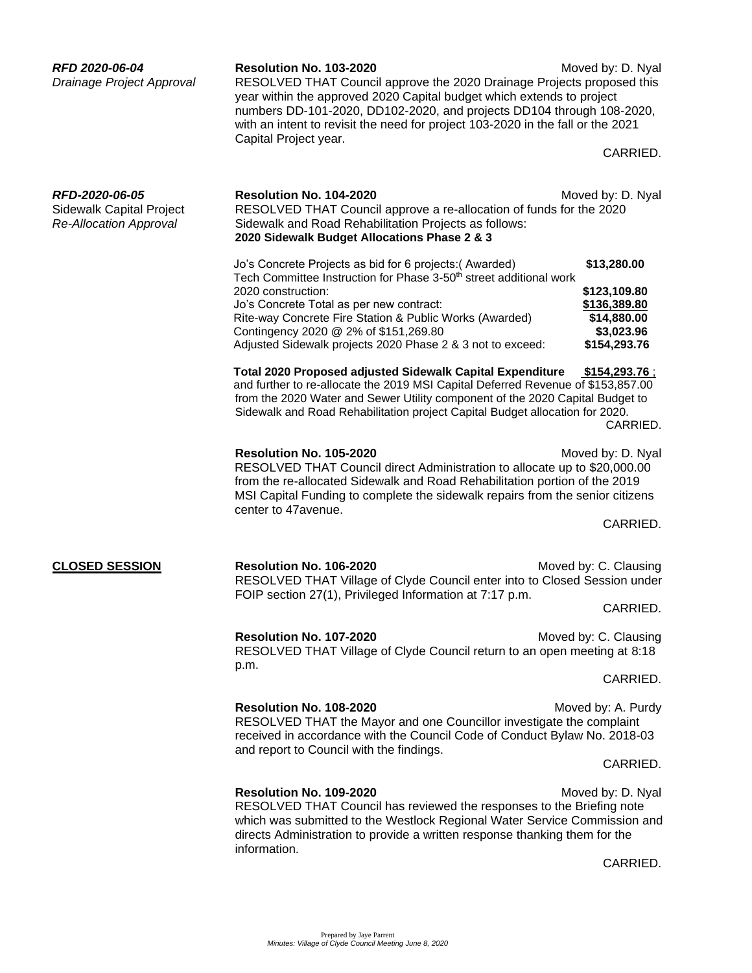| RFD 2020-06-04<br>Drainage Project Approval                                 | <b>Resolution No. 103-2020</b><br>RESOLVED THAT Council approve the 2020 Drainage Projects proposed this<br>year within the approved 2020 Capital budget which extends to project<br>numbers DD-101-2020, DD102-2020, and projects DD104 through 108-2020,<br>with an intent to revisit the need for project 103-2020 in the fall or the 2021<br>Capital Project year.        | Moved by: D. Nyal<br>CARRIED.                                                            |  |
|-----------------------------------------------------------------------------|-------------------------------------------------------------------------------------------------------------------------------------------------------------------------------------------------------------------------------------------------------------------------------------------------------------------------------------------------------------------------------|------------------------------------------------------------------------------------------|--|
| RFD-2020-06-05<br>Sidewalk Capital Project<br><b>Re-Allocation Approval</b> | Resolution No. 104-2020<br>RESOLVED THAT Council approve a re-allocation of funds for the 2020<br>Sidewalk and Road Rehabilitation Projects as follows:<br>2020 Sidewalk Budget Allocations Phase 2 & 3                                                                                                                                                                       | Moved by: D. Nyal                                                                        |  |
|                                                                             | Jo's Concrete Projects as bid for 6 projects: (Awarded)<br>Tech Committee Instruction for Phase 3-50 <sup>th</sup> street additional work<br>2020 construction:<br>Jo's Concrete Total as per new contract:<br>Rite-way Concrete Fire Station & Public Works (Awarded)<br>Contingency 2020 @ 2% of \$151,269.80<br>Adjusted Sidewalk projects 2020 Phase 2 & 3 not to exceed: | \$13,280.00<br>\$123,109.80<br>\$136,389.80<br>\$14,880.00<br>\$3,023.96<br>\$154,293.76 |  |
|                                                                             | <b>Total 2020 Proposed adjusted Sidewalk Capital Expenditure</b><br>\$154,293.76;<br>and further to re-allocate the 2019 MSI Capital Deferred Revenue of \$153,857.00<br>from the 2020 Water and Sewer Utility component of the 2020 Capital Budget to<br>Sidewalk and Road Rehabilitation project Capital Budget allocation for 2020.<br>CARRIED.                            |                                                                                          |  |
|                                                                             | Resolution No. 105-2020<br>RESOLVED THAT Council direct Administration to allocate up to \$20,000.00<br>from the re-allocated Sidewalk and Road Rehabilitation portion of the 2019<br>MSI Capital Funding to complete the sidewalk repairs from the senior citizens<br>center to 47avenue.                                                                                    | Moved by: D. Nyal<br>CARRIED.                                                            |  |
| <b>CLOSED SESSION</b>                                                       | Resolution No. 106-2020<br>RESOLVED THAT Village of Clyde Council enter into to Closed Session under<br>FOIP section 27(1), Privileged Information at 7:17 p.m.                                                                                                                                                                                                               | Moved by: C. Clausing<br>CARRIED.                                                        |  |
|                                                                             | Resolution No. 107-2020<br>RESOLVED THAT Village of Clyde Council return to an open meeting at 8:18<br>p.m.                                                                                                                                                                                                                                                                   | Moved by: C. Clausing<br>CARRIED.                                                        |  |
|                                                                             | Resolution No. 108-2020<br>RESOLVED THAT the Mayor and one Councillor investigate the complaint<br>received in accordance with the Council Code of Conduct Bylaw No. 2018-03<br>and report to Council with the findings.                                                                                                                                                      | Moved by: A. Purdy                                                                       |  |
|                                                                             | Resolution No. 109-2020<br>RESOLVED THAT Council has reviewed the responses to the Briefing note<br>which was submitted to the Westlock Regional Water Service Commission and<br>directs Administration to provide a written response thanking them for the<br>information.                                                                                                   | CARRIED.<br>Moved by: D. Nyal                                                            |  |
|                                                                             |                                                                                                                                                                                                                                                                                                                                                                               | CARRIED.                                                                                 |  |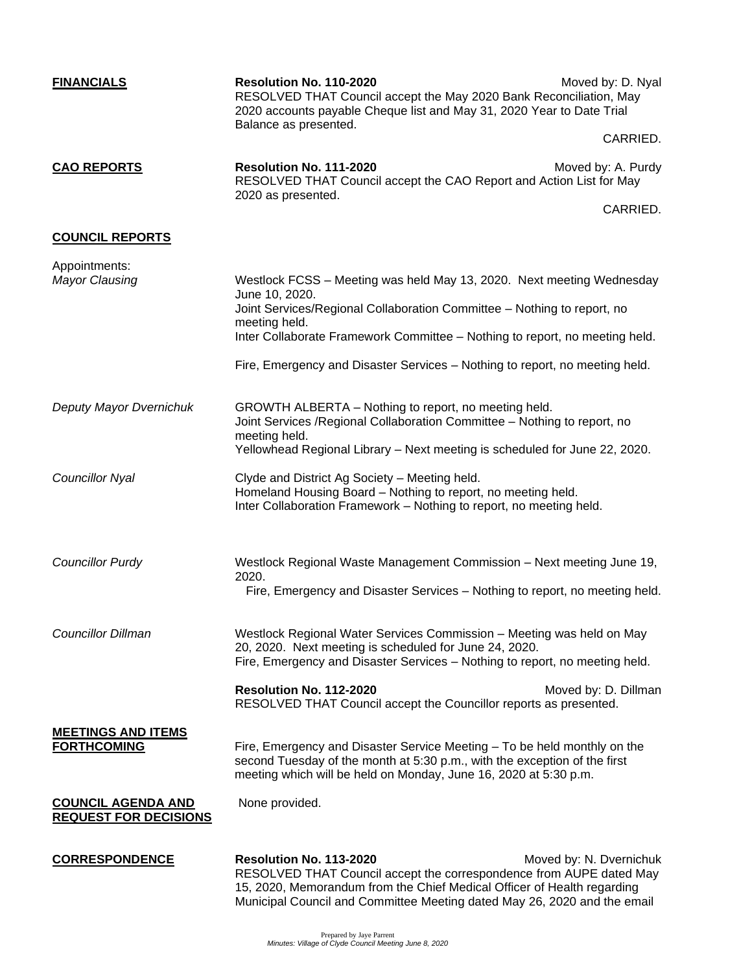| <b>FINANCIALS</b>                                         | Resolution No. 110-2020<br>RESOLVED THAT Council accept the May 2020 Bank Reconciliation, May<br>2020 accounts payable Cheque list and May 31, 2020 Year to Date Trial<br>Balance as presented.                                                                                                                                                   | Moved by: D. Nyal<br>CARRIED.  |
|-----------------------------------------------------------|---------------------------------------------------------------------------------------------------------------------------------------------------------------------------------------------------------------------------------------------------------------------------------------------------------------------------------------------------|--------------------------------|
| <b>CAO REPORTS</b>                                        | Resolution No. 111-2020<br>RESOLVED THAT Council accept the CAO Report and Action List for May<br>2020 as presented.                                                                                                                                                                                                                              | Moved by: A. Purdy<br>CARRIED. |
| <b>COUNCIL REPORTS</b>                                    |                                                                                                                                                                                                                                                                                                                                                   |                                |
| Appointments:<br><b>Mayor Clausing</b>                    | Westlock FCSS - Meeting was held May 13, 2020. Next meeting Wednesday<br>June 10, 2020.<br>Joint Services/Regional Collaboration Committee - Nothing to report, no<br>meeting held.<br>Inter Collaborate Framework Committee - Nothing to report, no meeting held.<br>Fire, Emergency and Disaster Services - Nothing to report, no meeting held. |                                |
| Deputy Mayor Dvernichuk                                   | GROWTH ALBERTA - Nothing to report, no meeting held.<br>Joint Services / Regional Collaboration Committee - Nothing to report, no<br>meeting held.<br>Yellowhead Regional Library - Next meeting is scheduled for June 22, 2020.                                                                                                                  |                                |
| <b>Councillor Nyal</b>                                    | Clyde and District Ag Society - Meeting held.<br>Homeland Housing Board - Nothing to report, no meeting held.<br>Inter Collaboration Framework - Nothing to report, no meeting held.                                                                                                                                                              |                                |
| <b>Councillor Purdy</b>                                   | Westlock Regional Waste Management Commission - Next meeting June 19,<br>2020.<br>Fire, Emergency and Disaster Services - Nothing to report, no meeting held.                                                                                                                                                                                     |                                |
| <b>Councillor Dillman</b>                                 | Westlock Regional Water Services Commission - Meeting was held on May<br>20, 2020. Next meeting is scheduled for June 24, 2020.<br>Fire, Emergency and Disaster Services - Nothing to report, no meeting held.                                                                                                                                    |                                |
|                                                           | Resolution No. 112-2020<br>RESOLVED THAT Council accept the Councillor reports as presented.                                                                                                                                                                                                                                                      | Moved by: D. Dillman           |
| <b>MEETINGS AND ITEMS</b><br><b>FORTHCOMING</b>           | Fire, Emergency and Disaster Service Meeting - To be held monthly on the<br>second Tuesday of the month at 5:30 p.m., with the exception of the first<br>meeting which will be held on Monday, June 16, 2020 at 5:30 p.m.                                                                                                                         |                                |
| <b>COUNCIL AGENDA AND</b><br><b>REQUEST FOR DECISIONS</b> | None provided.                                                                                                                                                                                                                                                                                                                                    |                                |
| <b>CORRESPONDENCE</b>                                     | Resolution No. 113-2020<br>RESOLVED THAT Council accept the correspondence from AUPE dated May<br>15, 2020, Memorandum from the Chief Medical Officer of Health regarding<br>Municipal Council and Committee Meeting dated May 26, 2020 and the email                                                                                             | Moved by: N. Dvernichuk        |